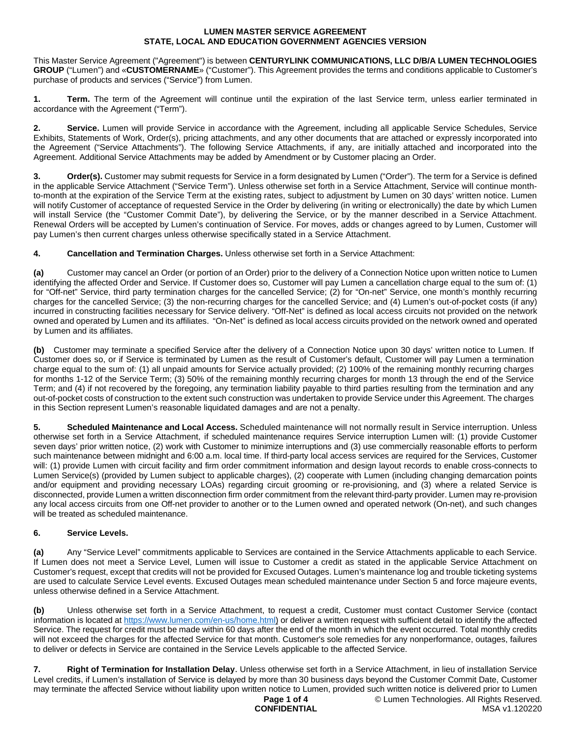This Master Service Agreement ("Agreement") is between **CENTURYLINK COMMUNICATIONS, LLC D/B/A LUMEN TECHNOLOGIES GROUP** ("Lumen") and «**CUSTOMERNAME**» ("Customer"). This Agreement provides the terms and conditions applicable to Customer's purchase of products and services ("Service") from Lumen.

**1. Term.** The term of the Agreement will continue until the expiration of the last Service term, unless earlier terminated in accordance with the Agreement ("Term").

**2. Service.** Lumen will provide Service in accordance with the Agreement, including all applicable Service Schedules, Service Exhibits, Statements of Work, Order(s), pricing attachments, and any other documents that are attached or expressly incorporated into the Agreement ("Service Attachments"). The following Service Attachments, if any, are initially attached and incorporated into the Agreement. Additional Service Attachments may be added by Amendment or by Customer placing an Order.

**Order(s).** Customer may submit requests for Service in a form designated by Lumen ("Order"). The term for a Service is defined in the applicable Service Attachment ("Service Term"). Unless otherwise set forth in a Service Attachment, Service will continue monthto-month at the expiration of the Service Term at the existing rates, subject to adjustment by Lumen on 30 days' written notice. Lumen will notify Customer of acceptance of requested Service in the Order by delivering (in writing or electronically) the date by which Lumen will install Service (the "Customer Commit Date"), by delivering the Service, or by the manner described in a Service Attachment. Renewal Orders will be accepted by Lumen's continuation of Service. For moves, adds or changes agreed to by Lumen, Customer will pay Lumen's then current charges unless otherwise specifically stated in a Service Attachment.

**4. Cancellation and Termination Charges.** Unless otherwise set forth in a Service Attachment:

**(a)** Customer may cancel an Order (or portion of an Order) prior to the delivery of a Connection Notice upon written notice to Lumen identifying the affected Order and Service. If Customer does so, Customer will pay Lumen a cancellation charge equal to the sum of: (1) for "Off-net" Service, third party termination charges for the cancelled Service; (2) for "On-net" Service, one month's monthly recurring charges for the cancelled Service; (3) the non-recurring charges for the cancelled Service; and (4) Lumen's out-of-pocket costs (if any) incurred in constructing facilities necessary for Service delivery. "Off-Net" is defined as local access circuits not provided on the network owned and operated by Lumen and its affiliates. "On-Net" is defined as local access circuits provided on the network owned and operated by Lumen and its affiliates.

**(b)** Customer may terminate a specified Service after the delivery of a Connection Notice upon 30 days' written notice to Lumen. If Customer does so, or if Service is terminated by Lumen as the result of Customer's default, Customer will pay Lumen a termination charge equal to the sum of: (1) all unpaid amounts for Service actually provided; (2) 100% of the remaining monthly recurring charges for months 1-12 of the Service Term; (3) 50% of the remaining monthly recurring charges for month 13 through the end of the Service Term; and (4) if not recovered by the foregoing, any termination liability payable to third parties resulting from the termination and any out-of-pocket costs of construction to the extent such construction was undertaken to provide Service under this Agreement. The charges in this Section represent Lumen's reasonable liquidated damages and are not a penalty.

**5. Scheduled Maintenance and Local Access.** Scheduled maintenance will not normally result in Service interruption. Unless otherwise set forth in a Service Attachment, if scheduled maintenance requires Service interruption Lumen will: (1) provide Customer seven days' prior written notice, (2) work with Customer to minimize interruptions and (3) use commercially reasonable efforts to perform such maintenance between midnight and 6:00 a.m. local time. If third-party local access services are required for the Services, Customer will: (1) provide Lumen with circuit facility and firm order commitment information and design layout records to enable cross-connects to Lumen Service(s) (provided by Lumen subject to applicable charges), (2) cooperate with Lumen (including changing demarcation points and/or equipment and providing necessary LOAs) regarding circuit grooming or re-provisioning, and (3) where a related Service is disconnected, provide Lumen a written disconnection firm order commitment from the relevant third-party provider. Lumen may re-provision any local access circuits from one Off-net provider to another or to the Lumen owned and operated network (On-net), and such changes will be treated as scheduled maintenance.

# **6. Service Levels.**

**(a)** Any "Service Level" commitments applicable to Services are contained in the Service Attachments applicable to each Service. If Lumen does not meet a Service Level, Lumen will issue to Customer a credit as stated in the applicable Service Attachment on Customer's request, except that credits will not be provided for Excused Outages. Lumen's maintenance log and trouble ticketing systems are used to calculate Service Level events. Excused Outages mean scheduled maintenance under Section 5 and force majeure events, unless otherwise defined in a Service Attachment.

**(b)** Unless otherwise set forth in a Service Attachment, to request a credit, Customer must contact Customer Service (contact information is located at [https://www.lumen.com/en-us/home.html\)](https://www.lumen.com/en-us/home.html) or deliver a written request with sufficient detail to identify the affected Service. The request for credit must be made within 60 days after the end of the month in which the event occurred. Total monthly credits will not exceed the charges for the affected Service for that month. Customer's sole remedies for any nonperformance, outages, failures to deliver or defects in Service are contained in the Service Levels applicable to the affected Service.

**7. Right of Termination for Installation Delay**. Unless otherwise set forth in a Service Attachment, in lieu of installation Service Level credits, if Lumen's installation of Service is delayed by more than 30 business days beyond the Customer Commit Date, Customer may terminate the affected Service without liability upon written notice to Lumen, provided such written notice is delivered prior to Lumen

### **Page 1 of 4 CONFIDENTIAL**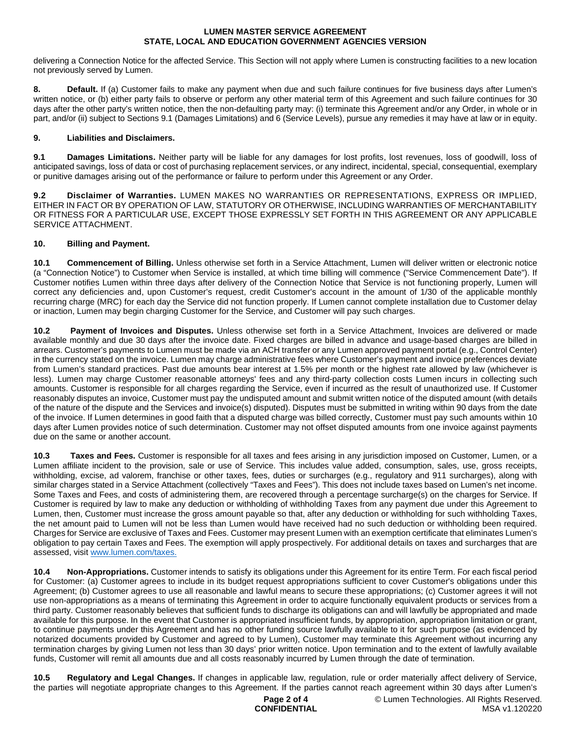delivering a Connection Notice for the affected Service. This Section will not apply where Lumen is constructing facilities to a new location not previously served by Lumen.

**8. Default.** If (a) Customer fails to make any payment when due and such failure continues for five business days after Lumen's written notice, or (b) either party fails to observe or perform any other material term of this Agreement and such failure continues for 30 days after the other party's written notice, then the non-defaulting party may: (i) terminate this Agreement and/or any Order, in whole or in part, and/or (ii) subject to Sections 9.1 (Damages Limitations) and 6 (Service Levels), pursue any remedies it may have at law or in equity.

### **9. Liabilities and Disclaimers.**

**9.1 Damages Limitations.** Neither party will be liable for any damages for lost profits, lost revenues, loss of goodwill, loss of anticipated savings, loss of data or cost of purchasing replacement services, or any indirect, incidental, special, consequential, exemplary or punitive damages arising out of the performance or failure to perform under this Agreement or any Order.

**9.2 Disclaimer of Warranties.** LUMEN MAKES NO WARRANTIES OR REPRESENTATIONS, EXPRESS OR IMPLIED, EITHER IN FACT OR BY OPERATION OF LAW, STATUTORY OR OTHERWISE, INCLUDING WARRANTIES OF MERCHANTABILITY OR FITNESS FOR A PARTICULAR USE, EXCEPT THOSE EXPRESSLY SET FORTH IN THIS AGREEMENT OR ANY APPLICABLE SERVICE ATTACHMENT.

## **10. Billing and Payment.**

**10.1 Commencement of Billing.** Unless otherwise set forth in a Service Attachment, Lumen will deliver written or electronic notice (a "Connection Notice") to Customer when Service is installed, at which time billing will commence ("Service Commencement Date"). If Customer notifies Lumen within three days after delivery of the Connection Notice that Service is not functioning properly, Lumen will correct any deficiencies and, upon Customer's request, credit Customer's account in the amount of 1/30 of the applicable monthly recurring charge (MRC) for each day the Service did not function properly. If Lumen cannot complete installation due to Customer delay or inaction, Lumen may begin charging Customer for the Service, and Customer will pay such charges.

**10.2 Payment of Invoices and Disputes.** Unless otherwise set forth in a Service Attachment, Invoices are delivered or made available monthly and due 30 days after the invoice date. Fixed charges are billed in advance and usage-based charges are billed in arrears. Customer's payments to Lumen must be made via an ACH transfer or any Lumen approved payment portal (e.g., Control Center) in the currency stated on the invoice. Lumen may charge administrative fees where Customer's payment and invoice preferences deviate from Lumen's standard practices. Past due amounts bear interest at 1.5% per month or the highest rate allowed by law (whichever is less). Lumen may charge Customer reasonable attorneys' fees and any third-party collection costs Lumen incurs in collecting such amounts. Customer is responsible for all charges regarding the Service, even if incurred as the result of unauthorized use. If Customer reasonably disputes an invoice, Customer must pay the undisputed amount and submit written notice of the disputed amount (with details of the nature of the dispute and the Services and invoice(s) disputed). Disputes must be submitted in writing within 90 days from the date of the invoice. If Lumen determines in good faith that a disputed charge was billed correctly, Customer must pay such amounts within 10 days after Lumen provides notice of such determination. Customer may not offset disputed amounts from one invoice against payments due on the same or another account.

**10.3 Taxes and Fees.** Customer is responsible for all taxes and fees arising in any jurisdiction imposed on Customer, Lumen, or a Lumen affiliate incident to the provision, sale or use of Service. This includes value added, consumption, sales, use, gross receipts, withholding, excise, ad valorem, franchise or other taxes, fees, duties or surcharges (e.g., regulatory and 911 surcharges), along with similar charges stated in a Service Attachment (collectively "Taxes and Fees"). This does not include taxes based on Lumen's net income. Some Taxes and Fees, and costs of administering them, are recovered through a percentage surcharge(s) on the charges for Service. If Customer is required by law to make any deduction or withholding of withholding Taxes from any payment due under this Agreement to Lumen, then, Customer must increase the gross amount payable so that, after any deduction or withholding for such withholding Taxes, the net amount paid to Lumen will not be less than Lumen would have received had no such deduction or withholding been required. Charges for Service are exclusive of Taxes and Fees. Customer may present Lumen with an exemption certificate that eliminates Lumen's obligation to pay certain Taxes and Fees. The exemption will apply prospectively. For additional details on taxes and surcharges that are assessed, visit [www.lumen.com/taxes](http://www.lumen.com/taxes).

**10.4 Non-Appropriations.** Customer intends to satisfy its obligations under this Agreement for its entire Term. For each fiscal period for Customer: (a) Customer agrees to include in its budget request appropriations sufficient to cover Customer's obligations under this Agreement; (b) Customer agrees to use all reasonable and lawful means to secure these appropriations; (c) Customer agrees it will not use non-appropriations as a means of terminating this Agreement in order to acquire functionally equivalent products or services from a third party. Customer reasonably believes that sufficient funds to discharge its obligations can and will lawfully be appropriated and made available for this purpose. In the event that Customer is appropriated insufficient funds, by appropriation, appropriation limitation or grant, to continue payments under this Agreement and has no other funding source lawfully available to it for such purpose (as evidenced by notarized documents provided by Customer and agreed to by Lumen), Customer may terminate this Agreement without incurring any termination charges by giving Lumen not less than 30 days' prior written notice. Upon termination and to the extent of lawfully available funds, Customer will remit all amounts due and all costs reasonably incurred by Lumen through the date of termination.

**10.5 Regulatory and Legal Changes.** If changes in applicable law, regulation, rule or order materially affect delivery of Service, the parties will negotiate appropriate changes to this Agreement. If the parties cannot reach agreement within 30 days after Lumen's

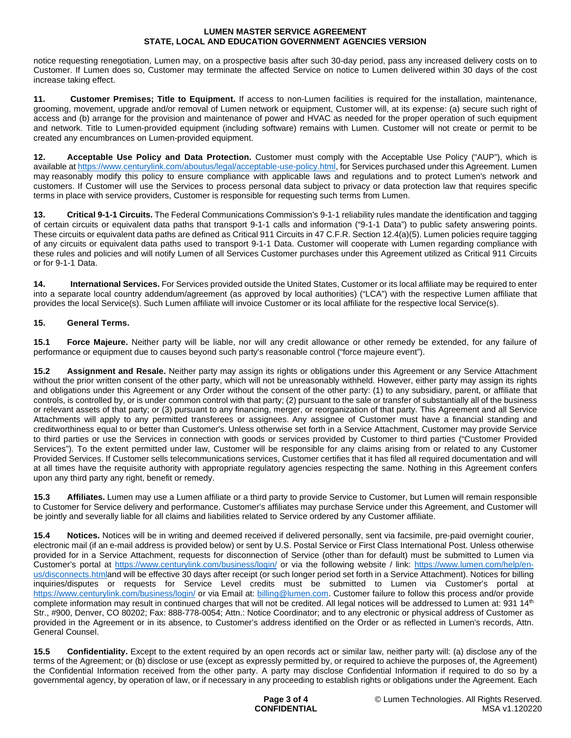notice requesting renegotiation, Lumen may, on a prospective basis after such 30-day period, pass any increased delivery costs on to Customer. If Lumen does so, Customer may terminate the affected Service on notice to Lumen delivered within 30 days of the cost increase taking effect.

**11. Customer Premises; Title to Equipment.** If access to non-Lumen facilities is required for the installation, maintenance, grooming, movement, upgrade and/or removal of Lumen network or equipment, Customer will, at its expense: (a) secure such right of access and (b) arrange for the provision and maintenance of power and HVAC as needed for the proper operation of such equipment and network. Title to Lumen-provided equipment (including software) remains with Lumen. Customer will not create or permit to be created any encumbrances on Lumen-provided equipment.

**12. Acceptable Use Policy and Data Protection.** Customer must comply with the Acceptable Use Policy ("AUP"), which is available at https://www.centurylink.com/aboutus/legal/acceptable-use-policy.html, for Services purchased under this Agreement. Lumen may reasonably modify this policy to ensure compliance with applicable laws and regulations and to protect Lumen's network and customers. If Customer will use the Services to process personal data subject to privacy or data protection law that requires specific terms in place with service providers, Customer is responsible for requesting such terms from Lumen.

**13. Critical 9-1-1 Circuits.** The Federal Communications Commission's 9-1-1 reliability rules mandate the identification and tagging of certain circuits or equivalent data paths that transport 9-1-1 calls and information ("9-1-1 Data") to public safety answering points. These circuits or equivalent data paths are defined as Critical 911 Circuits in 47 C.F.R. Section 12.4(a)(5). Lumen policies require tagging of any circuits or equivalent data paths used to transport 9-1-1 Data. Customer will cooperate with Lumen regarding compliance with these rules and policies and will notify Lumen of all Services Customer purchases under this Agreement utilized as Critical 911 Circuits or for 9-1-1 Data.

**14. International Services.** For Services provided outside the United States, Customer or its local affiliate may be required to enter into a separate local country addendum/agreement (as approved by local authorities) ("LCA") with the respective Lumen affiliate that provides the local Service(s). Such Lumen affiliate will invoice Customer or its local affiliate for the respective local Service(s).

## **15. General Terms.**

**15.1 Force Majeure.** Neither party will be liable, nor will any credit allowance or other remedy be extended, for any failure of performance or equipment due to causes beyond such party's reasonable control ("force majeure event").

**15.2 Assignment and Resale.** Neither party may assign its rights or obligations under this Agreement or any Service Attachment without the prior written consent of the other party, which will not be unreasonably withheld. However, either party may assign its rights and obligations under this Agreement or any Order without the consent of the other party: (1) to any subsidiary, parent, or affiliate that controls, is controlled by, or is under common control with that party; (2) pursuant to the sale or transfer of substantially all of the business or relevant assets of that party; or (3) pursuant to any financing, merger, or reorganization of that party. This Agreement and all Service Attachments will apply to any permitted transferees or assignees. Any assignee of Customer must have a financial standing and creditworthiness equal to or better than Customer's. Unless otherwise set forth in a Service Attachment, Customer may provide Service to third parties or use the Services in connection with goods or services provided by Customer to third parties ("Customer Provided Services"). To the extent permitted under law, Customer will be responsible for any claims arising from or related to any Customer Provided Services. If Customer sells telecommunications services, Customer certifies that it has filed all required documentation and will at all times have the requisite authority with appropriate regulatory agencies respecting the same. Nothing in this Agreement confers upon any third party any right, benefit or remedy.

**15.3 Affiliates.** Lumen may use a Lumen affiliate or a third party to provide Service to Customer, but Lumen will remain responsible to Customer for Service delivery and performance. Customer's affiliates may purchase Service under this Agreement, and Customer will be jointly and severally liable for all claims and liabilities related to Service ordered by any Customer affiliate.

**15.4 Notices.** Notices will be in writing and deemed received if delivered personally, sent via facsimile, pre-paid overnight courier, electronic mail (if an e-mail address is provided below) or sent by U.S. Postal Service or First Class International Post. Unless otherwise provided for in a Service Attachment, requests for disconnection of Service (other than for default) must be submitted to Lumen via Customer's portal at <https://www.centurylink.com/business/login/> or via the following website / link: [https://www.lumen.com/help/en](https://www.lumen.com/help/en-us/disconnects.html)us/disconnects.htmland will be effective 30 days after receipt (or such longer period set forth in a Service Attachment). Notices for billing inquiries/disputes or requests for Service Level credits must be submitted to Lumen via Customer's portal at <https://www.centurylink.com/business/login/>or via Email at: [billing@lumen.com](mailto:billing@lumen.com). Customer failure to follow this process and/or provide complete information may result in continued charges that will not be credited. All legal notices will be addressed to Lumen at: 931 14<sup>th</sup> Str., #900, Denver, CO 80202; Fax: 888-778-0054; Attn.: Notice Coordinator; and to any electronic or physical address of Customer as provided in the Agreement or in its absence, to Customer's address identified on the Order or as reflected in Lumen's records, Attn. General Counsel.

**15.5 Confidentiality.** Except to the extent required by an open records act or similar law, neither party will: (a) disclose any of the terms of the Agreement; or (b) disclose or use (except as expressly permitted by, or required to achieve the purposes of, the Agreement) the Confidential Information received from the other party. A party may disclose Confidential Information if required to do so by a governmental agency, by operation of law, or if necessary in any proceeding to establish rights or obligations under the Agreement. Each